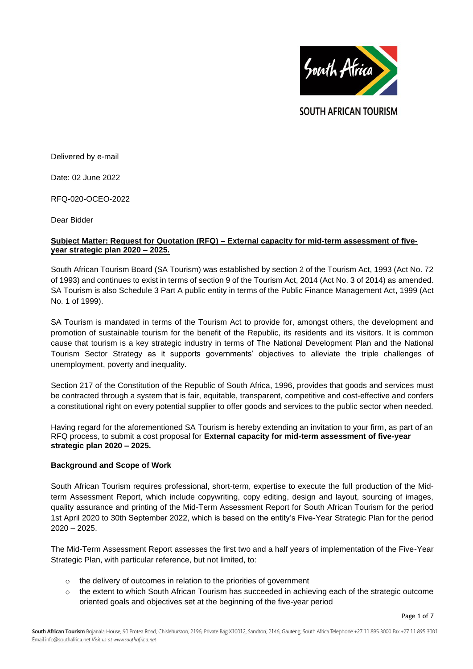

**SOUTH AFRICAN TOURISM** 

Delivered by e-mail

Date: 02 June 2022

RFQ-020-OCEO-2022

Dear Bidder

#### **Subject Matter: Request for Quotation (RFQ) – External capacity for mid-term assessment of fiveyear strategic plan 2020 – 2025.**

South African Tourism Board (SA Tourism) was established by section 2 of the Tourism Act, 1993 (Act No. 72 of 1993) and continues to exist in terms of section 9 of the Tourism Act, 2014 (Act No. 3 of 2014) as amended. SA Tourism is also Schedule 3 Part A public entity in terms of the Public Finance Management Act, 1999 (Act No. 1 of 1999).

SA Tourism is mandated in terms of the Tourism Act to provide for, amongst others, the development and promotion of sustainable tourism for the benefit of the Republic, its residents and its visitors. It is common cause that tourism is a key strategic industry in terms of The National Development Plan and the National Tourism Sector Strategy as it supports governments' objectives to alleviate the triple challenges of unemployment, poverty and inequality.

Section 217 of the Constitution of the Republic of South Africa, 1996, provides that goods and services must be contracted through a system that is fair, equitable, transparent, competitive and cost-effective and confers a constitutional right on every potential supplier to offer goods and services to the public sector when needed.

Having regard for the aforementioned SA Tourism is hereby extending an invitation to your firm, as part of an RFQ process, to submit a cost proposal for **External capacity for mid-term assessment of five-year strategic plan 2020 – 2025.**

## **Background and Scope of Work**

South African Tourism requires professional, short-term, expertise to execute the full production of the Midterm Assessment Report, which include copywriting, copy editing, design and layout, sourcing of images, quality assurance and printing of the Mid-Term Assessment Report for South African Tourism for the period 1st April 2020 to 30th September 2022, which is based on the entity's Five-Year Strategic Plan for the period 2020 – 2025.

The Mid-Term Assessment Report assesses the first two and a half years of implementation of the Five-Year Strategic Plan, with particular reference, but not limited, to:

- $\circ$  the delivery of outcomes in relation to the priorities of government
- o the extent to which South African Tourism has succeeded in achieving each of the strategic outcome oriented goals and objectives set at the beginning of the five-year period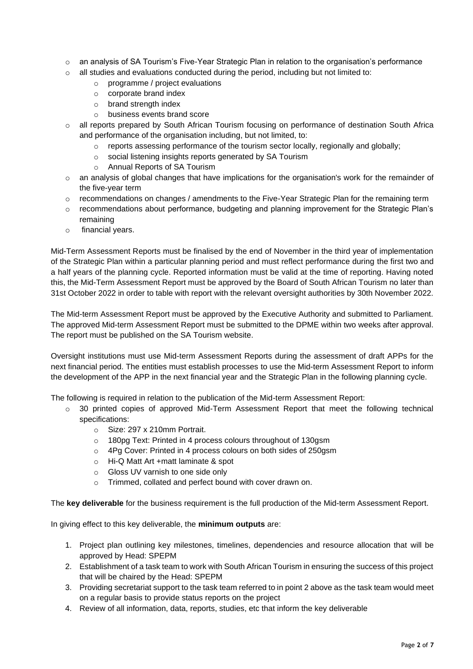- o an analysis of SA Tourism's Five-Year Strategic Plan in relation to the organisation's performance
- $\circ$  all studies and evaluations conducted during the period, including but not limited to:
	- o programme / project evaluations
	- o corporate brand index
	- o brand strength index
	- o business events brand score
- o all reports prepared by South African Tourism focusing on performance of destination South Africa and performance of the organisation including, but not limited, to:
	- $\circ$  reports assessing performance of the tourism sector locally, regionally and globally;
	- o social listening insights reports generated by SA Tourism
	- o Annual Reports of SA Tourism
- o an analysis of global changes that have implications for the organisation's work for the remainder of the five-year term
- $\circ$  recommendations on changes / amendments to the Five-Year Strategic Plan for the remaining term
- o recommendations about performance, budgeting and planning improvement for the Strategic Plan's remaining
- o financial years.

Mid-Term Assessment Reports must be finalised by the end of November in the third year of implementation of the Strategic Plan within a particular planning period and must reflect performance during the first two and a half years of the planning cycle. Reported information must be valid at the time of reporting. Having noted this, the Mid-Term Assessment Report must be approved by the Board of South African Tourism no later than 31st October 2022 in order to table with report with the relevant oversight authorities by 30th November 2022.

The Mid-term Assessment Report must be approved by the Executive Authority and submitted to Parliament. The approved Mid-term Assessment Report must be submitted to the DPME within two weeks after approval. The report must be published on the SA Tourism website.

Oversight institutions must use Mid-term Assessment Reports during the assessment of draft APPs for the next financial period. The entities must establish processes to use the Mid-term Assessment Report to inform the development of the APP in the next financial year and the Strategic Plan in the following planning cycle.

The following is required in relation to the publication of the Mid-term Assessment Report:

- $\circ$  30 printed copies of approved Mid-Term Assessment Report that meet the following technical specifications:
	- o Size: 297 x 210mm Portrait.
	- o 180pg Text: Printed in 4 process colours throughout of 130gsm
	- o 4Pg Cover: Printed in 4 process colours on both sides of 250gsm
	- o Hi-Q Matt Art +matt laminate & spot
	- o Gloss UV varnish to one side only
	- o Trimmed, collated and perfect bound with cover drawn on.

The **key deliverable** for the business requirement is the full production of the Mid-term Assessment Report.

In giving effect to this key deliverable, the **minimum outputs** are:

- 1. Project plan outlining key milestones, timelines, dependencies and resource allocation that will be approved by Head: SPEPM
- 2. Establishment of a task team to work with South African Tourism in ensuring the success of this project that will be chaired by the Head: SPEPM
- 3. Providing secretariat support to the task team referred to in point 2 above as the task team would meet on a regular basis to provide status reports on the project
- 4. Review of all information, data, reports, studies, etc that inform the key deliverable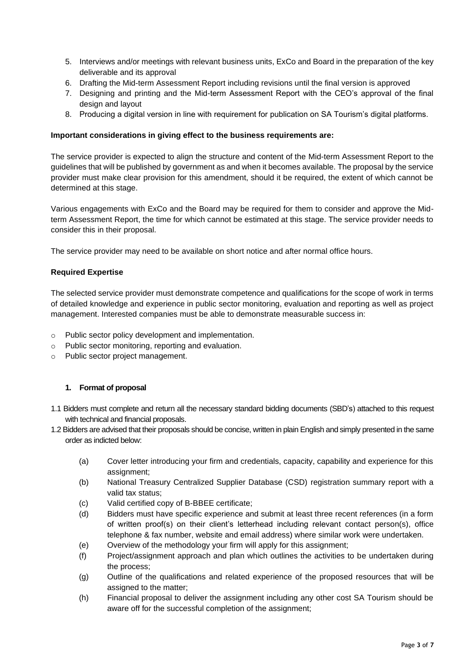- 5. Interviews and/or meetings with relevant business units, ExCo and Board in the preparation of the key deliverable and its approval
- 6. Drafting the Mid-term Assessment Report including revisions until the final version is approved
- 7. Designing and printing and the Mid-term Assessment Report with the CEO's approval of the final design and layout
- 8. Producing a digital version in line with requirement for publication on SA Tourism's digital platforms.

# **Important considerations in giving effect to the business requirements are:**

The service provider is expected to align the structure and content of the Mid-term Assessment Report to the guidelines that will be published by government as and when it becomes available. The proposal by the service provider must make clear provision for this amendment, should it be required, the extent of which cannot be determined at this stage.

Various engagements with ExCo and the Board may be required for them to consider and approve the Midterm Assessment Report, the time for which cannot be estimated at this stage. The service provider needs to consider this in their proposal.

The service provider may need to be available on short notice and after normal office hours.

## **Required Expertise**

The selected service provider must demonstrate competence and qualifications for the scope of work in terms of detailed knowledge and experience in public sector monitoring, evaluation and reporting as well as project management. Interested companies must be able to demonstrate measurable success in:

- o Public sector policy development and implementation.
- o Public sector monitoring, reporting and evaluation.
- o Public sector project management.

## **1. Format of proposal**

- 1.1 Bidders must complete and return all the necessary standard bidding documents (SBD's) attached to this request with technical and financial proposals.
- 1.2 Bidders are advised that their proposals should be concise, written in plain English and simply presented in the same order as indicted below:
	- (a) Cover letter introducing your firm and credentials, capacity, capability and experience for this assignment;
	- (b) National Treasury Centralized Supplier Database (CSD) registration summary report with a valid tax status;
	- (c) Valid certified copy of B-BBEE certificate;
	- (d) Bidders must have specific experience and submit at least three recent references (in a form of written proof(s) on their client's letterhead including relevant contact person(s), office telephone & fax number, website and email address) where similar work were undertaken.
	- (e) Overview of the methodology your firm will apply for this assignment;
	- (f) Project/assignment approach and plan which outlines the activities to be undertaken during the process;
	- (g) Outline of the qualifications and related experience of the proposed resources that will be assigned to the matter;
	- (h) Financial proposal to deliver the assignment including any other cost SA Tourism should be aware off for the successful completion of the assignment;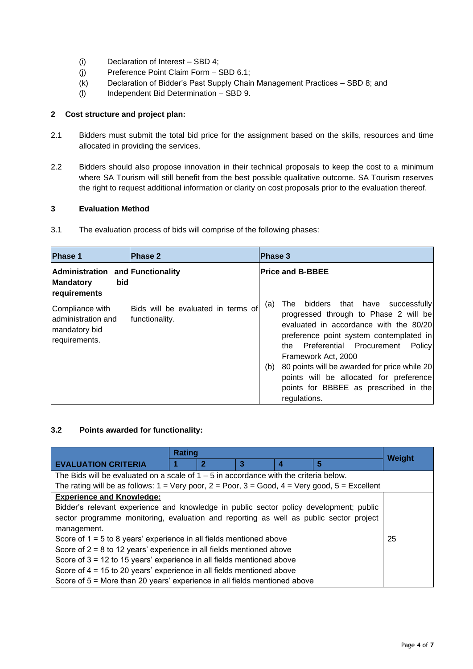- (i) Declaration of Interest SBD 4;
- (j) Preference Point Claim Form SBD 6.1;
- (k) Declaration of Bidder's Past Supply Chain Management Practices SBD 8; and
- (l) Independent Bid Determination SBD 9.

# **2 Cost structure and project plan:**

- 2.1 Bidders must submit the total bid price for the assignment based on the skills, resources and time allocated in providing the services.
- 2.2 Bidders should also propose innovation in their technical proposals to keep the cost to a minimum where SA Tourism will still benefit from the best possible qualitative outcome. SA Tourism reserves the right to request additional information or clarity on cost proposals prior to the evaluation thereof.

# **3 Evaluation Method**

3.1 The evaluation process of bids will comprise of the following phases:

| <b>Phase 1</b>                                                               | <b>Phase 2</b>                                       | <b>Phase 3</b>                                                                                                                                                                                                                                                                                                                                                                                               |
|------------------------------------------------------------------------------|------------------------------------------------------|--------------------------------------------------------------------------------------------------------------------------------------------------------------------------------------------------------------------------------------------------------------------------------------------------------------------------------------------------------------------------------------------------------------|
| Administration and Functionality<br>bidl<br><b>Mandatory</b><br>requirements |                                                      | <b>Price and B-BBEE</b>                                                                                                                                                                                                                                                                                                                                                                                      |
| Compliance with<br>ladministration and<br> mandatory bid<br>requirements.    | Bids will be evaluated in terms of<br>functionality. | bidders<br>that have<br>successfully<br>The<br>(a)<br>progressed through to Phase 2 will be<br>evaluated in accordance with the 80/20<br>preference point system contemplated in<br>the Preferential Procurement<br>Policy<br>Framework Act, 2000<br>80 points will be awarded for price while 20<br>(b)<br>points will be allocated for preference<br>points for BBBEE as prescribed in the<br>regulations. |

## **3.2 Points awarded for functionality:**

|                                                                                                                                     | Rating |   |    | <b>Weight</b> |   |  |
|-------------------------------------------------------------------------------------------------------------------------------------|--------|---|----|---------------|---|--|
| <b>EVALUATION CRITERIA</b>                                                                                                          |        | 2 | 3  |               | 5 |  |
| The Bids will be evaluated on a scale of $1 - 5$ in accordance with the criteria below.                                             |        |   |    |               |   |  |
| The rating will be as follows: $1 = \text{Very poor}, 2 = \text{Poor}, 3 = \text{Good}, 4 = \text{Very good}, 5 = \text{Excellent}$ |        |   |    |               |   |  |
| <b>Experience and Knowledge:</b>                                                                                                    |        |   |    |               |   |  |
| Bidder's relevant experience and knowledge in public sector policy development; public                                              |        |   |    |               |   |  |
| sector programme monitoring, evaluation and reporting as well as public sector project                                              |        |   |    |               |   |  |
| management.                                                                                                                         |        |   |    |               |   |  |
| Score of $1 = 5$ to 8 years' experience in all fields mentioned above                                                               |        |   | 25 |               |   |  |
| Score of $2 = 8$ to 12 years' experience in all fields mentioned above                                                              |        |   |    |               |   |  |
| Score of $3 = 12$ to 15 years' experience in all fields mentioned above                                                             |        |   |    |               |   |  |
| Score of 4 = 15 to 20 years' experience in all fields mentioned above                                                               |        |   |    |               |   |  |
| Score of 5 = More than 20 years' experience in all fields mentioned above                                                           |        |   |    |               |   |  |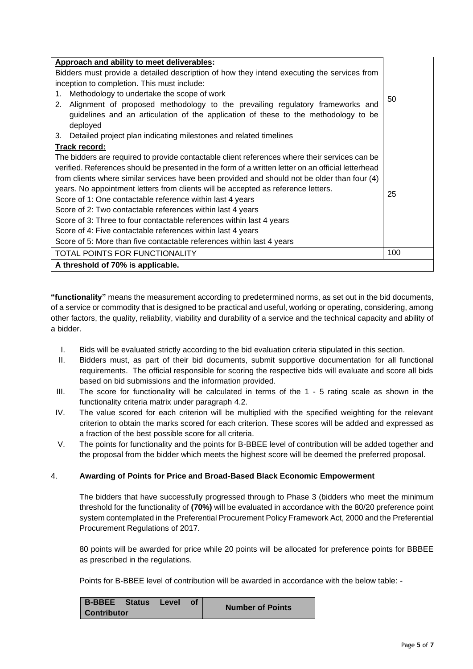| Approach and ability to meet deliverables:                                                         |    |  |  |
|----------------------------------------------------------------------------------------------------|----|--|--|
| Bidders must provide a detailed description of how they intend executing the services from         |    |  |  |
| inception to completion. This must include:                                                        |    |  |  |
| Methodology to undertake the scope of work<br>1.                                                   |    |  |  |
| Alignment of proposed methodology to the prevailing regulatory frameworks and<br>2.                | 50 |  |  |
| guidelines and an articulation of the application of these to the methodology to be                |    |  |  |
| deployed                                                                                           |    |  |  |
| 3. Detailed project plan indicating milestones and related timelines                               |    |  |  |
| Track record:                                                                                      |    |  |  |
| The bidders are required to provide contactable client references where their services can be      |    |  |  |
| verified. References should be presented in the form of a written letter on an official letterhead |    |  |  |
| from clients where similar services have been provided and should not be older than four (4)       |    |  |  |
| years. No appointment letters from clients will be accepted as reference letters.                  |    |  |  |
| Score of 1: One contactable reference within last 4 years                                          |    |  |  |
| Score of 2: Two contactable references within last 4 years                                         |    |  |  |
| Score of 3: Three to four contactable references within last 4 years                               |    |  |  |
| Score of 4: Five contactable references within last 4 years                                        |    |  |  |
| Score of 5: More than five contactable references within last 4 years                              |    |  |  |
| TOTAL POINTS FOR FUNCTIONALITY                                                                     |    |  |  |
| A threshold of 70% is applicable.                                                                  |    |  |  |

**"functionality"** means the measurement according to predetermined norms, as set out in the bid documents, of a service or commodity that is designed to be practical and useful, working or operating, considering, among other factors, the quality, reliability, viability and durability of a service and the technical capacity and ability of a bidder.

- I. Bids will be evaluated strictly according to the bid evaluation criteria stipulated in this section.
- II. Bidders must, as part of their bid documents, submit supportive documentation for all functional requirements. The official responsible for scoring the respective bids will evaluate and score all bids based on bid submissions and the information provided.
- III. The score for functionality will be calculated in terms of the 1 5 rating scale as shown in the functionality criteria matrix under paragraph 4.2.
- IV. The value scored for each criterion will be multiplied with the specified weighting for the relevant criterion to obtain the marks scored for each criterion. These scores will be added and expressed as a fraction of the best possible score for all criteria.
- V. The points for functionality and the points for B-BBEE level of contribution will be added together and the proposal from the bidder which meets the highest score will be deemed the preferred proposal.

## 4. **Awarding of Points for Price and Broad-Based Black Economic Empowerment**

The bidders that have successfully progressed through to Phase 3 (bidders who meet the minimum threshold for the functionality of **(70%)** will be evaluated in accordance with the 80/20 preference point system contemplated in the Preferential Procurement Policy Framework Act, 2000 and the Preferential Procurement Regulations of 2017.

80 points will be awarded for price while 20 points will be allocated for preference points for BBBEE as prescribed in the regulations.

Points for B-BBEE level of contribution will be awarded in accordance with the below table: -

| B-BBEE Status Level |  |  | <b>Number of Points</b> |
|---------------------|--|--|-------------------------|
| <b>Contributor</b>  |  |  |                         |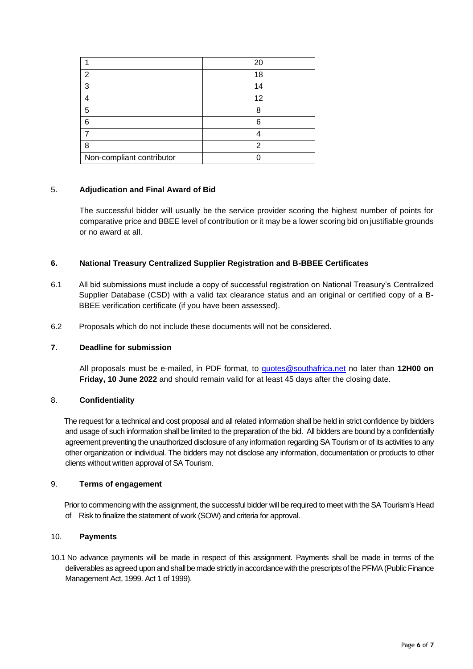|                           | 20 |
|---------------------------|----|
| 2                         | 18 |
| 3                         | 14 |
|                           | 12 |
| 5                         | Я  |
| 6                         |    |
|                           |    |
| 8                         | っ  |
| Non-compliant contributor |    |

## 5. **Adjudication and Final Award of Bid**

The successful bidder will usually be the service provider scoring the highest number of points for comparative price and BBEE level of contribution or it may be a lower scoring bid on justifiable grounds or no award at all.

## **6. National Treasury Centralized Supplier Registration and B-BBEE Certificates**

- 6.1 All bid submissions must include a copy of successful registration on National Treasury's Centralized Supplier Database (CSD) with a valid tax clearance status and an original or certified copy of a B-BBEE verification certificate (if you have been assessed).
- 6.2 Proposals which do not include these documents will not be considered.

# **7. Deadline for submission**

All proposals must be e-mailed, in PDF format, to [quotes@southafrica.net](mailto:quotes@southafrica.net) no later than **12H00 on Friday, 10 June 2022** and should remain valid for at least 45 days after the closing date.

## 8. **Confidentiality**

 The request for a technical and cost proposal and all related information shall be held in strict confidence by bidders and usage of such information shall be limited to the preparation of the bid. All bidders are bound by a confidentially agreement preventing the unauthorized disclosure of any information regarding SA Tourism or of its activities to any other organization or individual. The bidders may not disclose any information, documentation or products to other clients without written approval of SA Tourism.

## 9. **Terms of engagement**

 Prior to commencing with the assignment, the successful bidder will be required to meet with the SA Tourism's Head of Risk to finalize the statement of work (SOW) and criteria for approval.

#### 10. **Payments**

10.1 No advance payments will be made in respect of this assignment. Payments shall be made in terms of the deliverables as agreed upon and shall be made strictly in accordance with the prescripts of the PFMA (Public Finance Management Act, 1999. Act 1 of 1999).